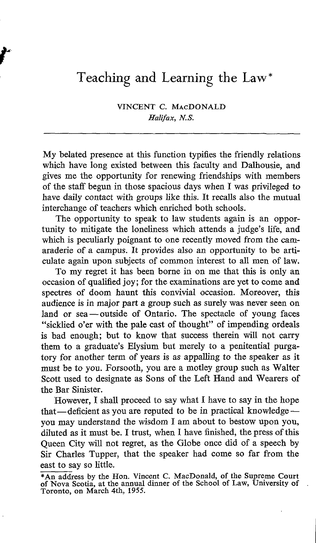## Teaching and Learning the Law\*

VINCENT C. MAcDONALD Halifax, N.S.

My belated presence at this function typifies the friendly relations which have long existed between this faculty and Dalhousie, and gives me the opportunity for renewing friendships with members of the staff begun in those spacious days when I was privileged to have daily contact with groups like this. It recalls also the mutual interchange of teachers which enriched both schools.

The opportunity to speak to law students again is an opportunity to mitigate the loneliness which attends a judge's life, and which is peculiarly poignant to one recently moved from the camaraderie of a campus. It provides also an opportunity to be articulate again upon subjects of common interest to all men of law.

To my regret it has been borne in on me that this is only an occasion of qualified joy ; for the examinations are yet to come and spectres of doom haunt this convivial occasion. Moreover, this audience is in major part a group such as surely was never seen on land or sea — outside of Ontario. The spectacle of young faces "sicklied <sup>o</sup>'er with the pale cast of thought" of impending ordeals is bad enough; but to know that success therein will not carry them to <sup>a</sup> graduate's Elysium but merely to a penitential purgatory for another term of years is as appalling to the speaker as it must be to you. Forsooth, you are a motley group such as Walter Scott used to designate as Sons of the Left Hand and Wearers of the Bar Sinister.

However, I shall proceed to say what <sup>I</sup> have to say in the hope that—deficient as you are reputed to be in practical knowledge $$ you may understand the wisdom <sup>I</sup> am about to bestow upon you, diluted as it must be. I trust, when I have finished, the press of this Queen City will not regret, as the Globe once did of a speech by Sir Charles Tupper, that the speaker had come so far from the east to say so little.

<sup>\*</sup>An address by the Hon. Vincent C. MacDonald, of the Supreme Court of Nova Scotia, at the annual dinner of the School of Law, University of Toronto, on March 4th, 1955.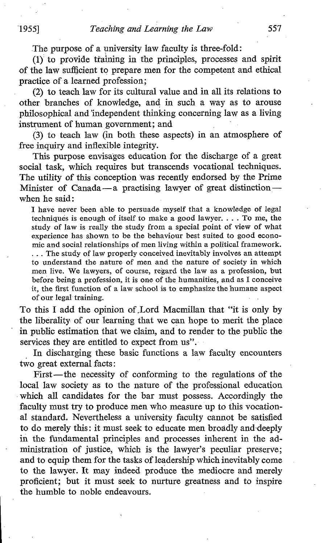The purpose of a university law faculty is three-fold :

(1) to provide training in the principles, processes and spirit of the law sufficient to prepare men for the competent and ethical practice of a learned profession;

(2) to teach law for its cultural value and in all its relations to other branches of knowledge, and in such a way as to arouse philosophical and independent thinking concerning law as a living instrument of human government; and

(3) to teach law (in both these aspects) in an atmosphere of free inquiry and inflexible integrity.

This purpose envisages education for the discharge of a great social task, which requires but transcends vocational techniques. The utility of this conception was recently endorsed by the Prime Minister of Canada $-a$  practising lawyer of great distinction $$ when he said:

<sup>I</sup> have never been able to persuade myself that a knowledge of legal techniques is enough of itself to make a good lawyer. . . . To me, the study of law is really the study from a special point of view of what experience has shown to be the behaviour best suited to good economic and social relationships of men living within a political framework. . . . The study of law properly conceived inevitably involves an attempt to understand the nature of men and the nature of society in which men live. We lawyers, of course, regard the law as <sup>a</sup> profession, but before being a profession, it is one of the humanities, and as I conceive it, the first function of a law school is to emphasize the humane aspect of our legal training .

To this I add the opinion of Lord Macmillan that "it is only by the liberality of our learning that we can hope to merit the place in public estimation that we claim, and to render to the public the services they are entitled to expect from us".

In discharging these basic functions a law faculty encounters two great external facts

First-the necessity of conforming to the regulations of the local law society as to the nature of the professional education which all candidates for the bar must possess. Accordingly the faculty must try to produce men who measure up to this vocational standard. Nevertheless a university faculty cannot be satisfied to do merely this : it must seek to educate men broadly and-deeply in the fundamental principles and processes inherent in the administration of justice, which is the lawyer's peculiar preserve; and to equip them for the tasks of leadership which inevitably come to the lawyer. It may indeed produce the mediocre and merely proficient; but it must seek to nurture greatness and to inspire the humble to noble endeavours.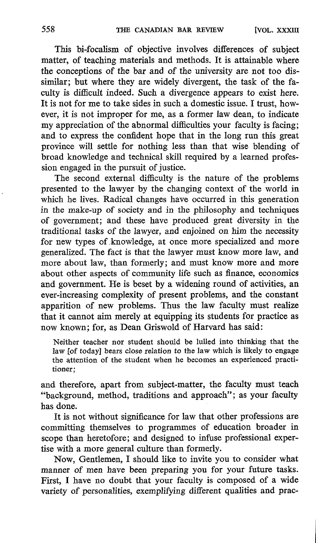This bi-focalism of objective involves differences of subject matter, of teaching materials and methods. It is attainable where the conceptions of the bar and of the university are not too dissimilar; but where they are widely divergent, the task of the faculty is difficult indeed. Such a divergence appears to exist here. It is not for me to take sides in such a domestic issue. <sup>I</sup> trust, however, it is not improper for me, as a former law dean, to indicate my appreciation of the abnormal difficulties your faculty is facing; and to express the confident hope that in the long run this great province will settle for nothing less than that wise blending of broad knowledge and technical skill required by a learned profession engaged in the pursuit of justice.

The second external difficulty is the nature of the problems presented to the lawyer by the changing context of the world in which he lives. Radical changes have occurred in this generation in the make-up of society and in the philosophy and techniques of government; and these have produced great diversity in the traditional tasks of the lawyer, and enjoined on him the necessity for new types of.knowledge, at once more specialized and more generalized. The fact is that the lawyer must know more law, and more about law, than formerly; and must know more and more about other aspects of community life such as finance, economics and government. He is beset by a widening round of activities, an ever-increasing complexity of present problems, and the constant apparition of new problems. Thus the law faculty must realize that it cannot aim merely at equipping its students for practice as now known; for, as Dean Griswold of Harvard has said:

Neither teacher nor student should be lulled into thinking that the law [of today] bears close relation to the law which is likely to engage the attention of the student when he becomes an experienced practitioner:

and therefore, apart from subject-matter, the faculty must teach "background, method, traditions and approach"; as your faculty has done.

It is not without significance for law that other professions are committing themselves to programmes of education broader in scope than heretofore; and designed to infuse professional expertise with a more general culture than formerly.

Now, Gentlemen, <sup>I</sup> should like to invite you to consider what manner of men have been preparing you for your future tasks. First, I have no doubt that your faculty is composed of a wide variety of personalities, exemplifying different qualities and prac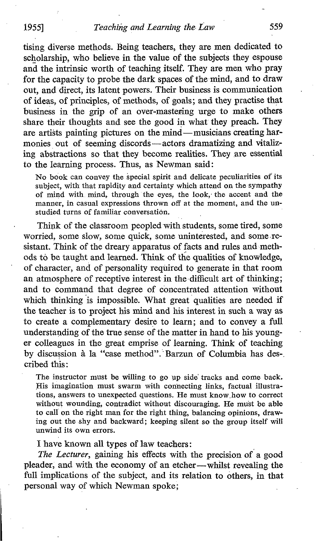tising diverse methods. Being teachers, they are men dedicated to scholarship, who believe in the value of the subjects they espouse and the intrinsic worth of teaching itself. They are men who pray for the capacity to probe the dark spaces of the mind, and to draw out, and direct, its latent powers . Their business is communication of ideas, of principles, of methods, of goals; and they practise that business in the grip of an over-mastering urge to make others share their thoughts and see the good in what they preach. They are artists painting pictures on the mind-musicians creating harmonies out of seeming discords-actors dramatizing and vitalizing abstractions so that they become realities. They are essential to the learning process. Thus, as Newman said :

No book can convey the special spirit and delicate peculiarities of its subject, with that rapidity and certainty which attend on the sympathy of mind with, mind, through the eyes, the look, the accent and the manner, in casual expressions thrown off at the moment, and the unstudied turns of familiar conversation.

Think of the classroom peopled with students, some tired, some worried, some slow, some quick, some uninterested, and some-resistant. Think of the dreary apparatus of facts and rules and methods to be taught and learned. Think of the qualities of knowledge, of character, and of personality required to generate in that room an atmosphere of receptive interest in the difficult art of thinking; and to command that degree of concentrated attention without which thinking is impossible. What great qualities are needed if the teacher is to project his mind and his interest in such a way as to create a complementary desire to learn; and to convey a full understanding of the true sense of the matter in hand to his younger colleagues in the great emprise of learning. Think of teaching by discussion à la "case method". Barzun of Columbia has des- . cribed this

The instructor must be willing to go up side' tracks and come back. His imagination must swarm with connecting links, factual illustrations, answers to unexpected questions. He must know,how to correct without wounding, contradict without discouraging. He must be able to call on the right man for the right thing, balancing opinions, drawing out the shy and backward; keeping silent so the group itself will unwind its own errors.

I have known all types of law teachers :

The Lecturer, gaining his effects with the precision of a good pleader, and with the economy of an etcher-whilst revealing the full implications of the subject, and its relation to others, in that personal way of which Newman spoke;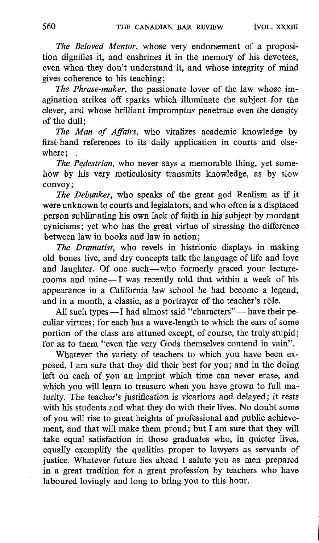The Beloved Mentor, whose very endorsement of a proposition dignifies it, and enshrines it in the memory of his devotees, even when they don't understand it, and whose integrity of mind gives coherence to his teaching;

The Phrase-maker, the passionate lover of the law whose imagination strikes off sparks which illuminate the subject for the clever, and whose brilliant impromptus penetrate even the density of the dull;

The Man of Affairs, who vitalizes academic knowledge by first-hand references to its daily application in courts and elsewhere;

The Pedestrian, who never says a memorable thing, yet somehow by his very meticulosity transmits knowledge, as by slow convoy ;

The Debunker, who speaks of the great god Realism as if it were unknown to courts and legislators, and who often is a displaced person sublimating his own lack of faith in his subject by mordant cynicisms ; yet who has the great virtue of stressing the difference between law in books and law in action ;

The Dramatist, who revels in histrionic displays in making old bones live, and dry concepts talk the language of life and love and laughter. Of one such-who formerly graced your lecturerooms and mine-I was recently told that within a week of his appearance in a California law school he had become a legend, and in a month, a classic, as a portrayer of the teacher's rôle.

All such types -I had almost said "characters" - have their peculiar virtues ; for each has a wave-length to which the ears of some portion of the class are attuned except, of course, the truly stupid ; for as to them "even the very Gods themselves contend in vain".

Whatever the variety of teachers to which you have been exposed, I am sure that they did their best for you; and in the doing left on each of you an imprint which time can never erase, and which you will learn to treasure when you have grown to full maturity. The teacher's justification is vicarious and delayed; it rests with his students and what they do with their lives. No doubt some of you will rise to great heights of professional and public achievement, and that will make them proud; but <sup>I</sup> am sure that they will take equal satisfaction in those graduates who, in quieter lives, equally exemplify the qualities proper to lawyers as servants of justice. Whatever future lies ahead I salute you as men prepared in a great tradition for a great profession by teachers who have laboured lovingly and long to bring you to this hour.